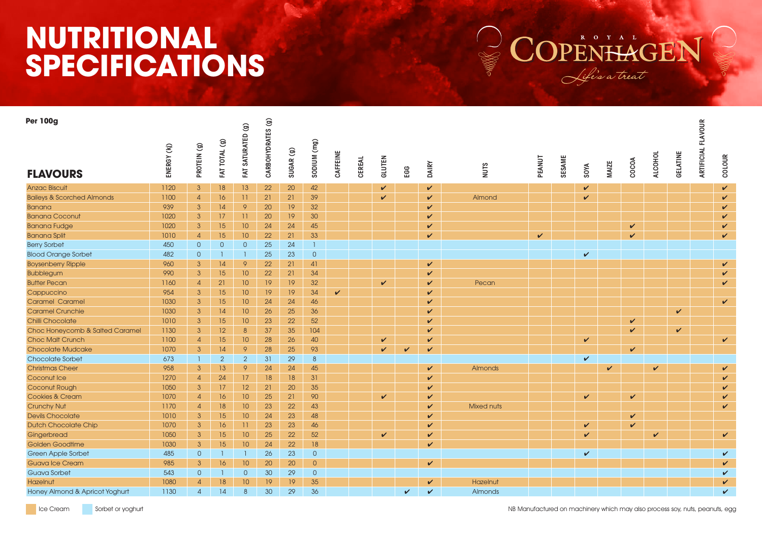## **NUTRITIONAL SPECIFICATIONS**



| <b>Per 100g</b>                       |            |                |                | FAT SATURATED (g) | CARBOHYDRATES (g) |                      |                |              |        |               |              |              |                   |              |        |              |              |       |                |                 | <b>FLAVOUR</b> |              |
|---------------------------------------|------------|----------------|----------------|-------------------|-------------------|----------------------|----------------|--------------|--------|---------------|--------------|--------------|-------------------|--------------|--------|--------------|--------------|-------|----------------|-----------------|----------------|--------------|
| <b>FLAVOURS</b>                       | ENERGY (K) | PROTEIN (g)    | FAT TOTAL (g)  |                   |                   | SUGAR <sub>(g)</sub> | (ma) Mnldos    | CAFFEINE     | CEREAL | <b>GLUTEN</b> | EGG          | <b>DAIRY</b> | <b>NUTS</b>       | PEANUT       | SESAME | SOYA         | <b>MAIZE</b> | COCOA | <b>ALCOHOL</b> | <b>GELATINE</b> | ARTIFICIA      | COLOUR       |
| <b>Anzac Biscuit</b>                  | 1120       | $\mathbf{3}$   | 18             | 13                | 22                | 20                   | 42             |              |        | V             |              | $\checkmark$ |                   |              |        | $\checkmark$ |              |       |                |                 |                | $\checkmark$ |
| <b>Baileys &amp; Scorched Almonds</b> | 1100       | $\overline{4}$ | 16             | 11                | 21                | 21                   | 39             |              |        | ✓             |              | $\checkmark$ | Almond            |              |        | V            |              |       |                |                 |                | $\checkmark$ |
| <b>Banana</b>                         | 939        | 3              | 14             | 9                 | 20                | 19                   | 32             |              |        |               |              | $\checkmark$ |                   |              |        |              |              |       |                |                 |                | $\checkmark$ |
| <b>Banana Coconut</b>                 | 1020       | $\mathbf{3}$   | 17             | 11                | 20                | 19                   | 30             |              |        |               |              | $\checkmark$ |                   |              |        |              |              |       |                |                 |                | $\checkmark$ |
| <b>Banana Fudge</b>                   | 1020       | 3              | 15             | 10                | 24                | 24                   | 45             |              |        |               |              | $\checkmark$ |                   |              |        |              |              | V     |                |                 |                | $\checkmark$ |
| <b>Banana Split</b>                   | 1010       | $\overline{4}$ | 15             | 10                | 22                | 21                   | 33             |              |        |               |              | $\checkmark$ |                   | $\checkmark$ |        |              |              | V     |                |                 |                | $\checkmark$ |
| <b>Berry Sorbet</b>                   | 450        | $\overline{0}$ | $\overline{0}$ | $\circ$           | 25                | 24                   | $\overline{1}$ |              |        |               |              |              |                   |              |        |              |              |       |                |                 |                |              |
| <b>Blood Orange Sorbet</b>            | 482        | $\overline{0}$ |                | $\overline{1}$    | 25                | 23                   | $\overline{0}$ |              |        |               |              |              |                   |              |        | V            |              |       |                |                 |                |              |
| <b>Boysenberry Ripple</b>             | 960        | 3              | 14             | 9                 | 22                | 21                   | 41             |              |        |               |              | $\checkmark$ |                   |              |        |              |              |       |                |                 |                | $\checkmark$ |
| <b>Bubblegum</b>                      | 990        | $\mathbf{3}$   | 15             | 10                | 22                | 21                   | 34             |              |        |               |              | $\checkmark$ |                   |              |        |              |              |       |                |                 |                | $\checkmark$ |
| <b>Butter Pecan</b>                   | 1160       | $\overline{4}$ | 21             | 10                | 19                | 19                   | 32             |              |        | ✓             |              | $\checkmark$ | Pecan             |              |        |              |              |       |                |                 |                | $\checkmark$ |
| Cappuccino                            | 954        | $\mathbf{3}$   | 15             | 10                | 19                | 19                   | 34             | $\checkmark$ |        |               |              | $\checkmark$ |                   |              |        |              |              |       |                |                 |                |              |
| <b>Caramel Caramel</b>                | 1030       | 3              | 15             | 10                | 24                | 24                   | 46             |              |        |               |              | $\checkmark$ |                   |              |        |              |              |       |                |                 |                | $\checkmark$ |
| <b>Caramel Crunchie</b>               | 1030       | $\mathbf{3}$   | 14             | 10                | 26                | 25                   | 36             |              |        |               |              | $\checkmark$ |                   |              |        |              |              |       |                | $\checkmark$    |                |              |
| Chilli Chocolate                      | 1010       | 3              | 15             | 10                | 23                | 22                   | 52             |              |        |               |              | $\checkmark$ |                   |              |        |              |              | V     |                |                 |                |              |
| Choc Honeycomb & Salted Caramel       | 1130       | $\mathbf{3}$   | 12             | 8                 | 37                | 35                   | 104            |              |        |               |              | $\checkmark$ |                   |              |        |              |              | ✓     |                | $\checkmark$    |                |              |
| <b>Choc Malt Crunch</b>               | 1100       | $\overline{4}$ | 15             | 10                | 28                | 26                   | 40             |              |        | V             |              | $\checkmark$ |                   |              |        | V            |              |       |                |                 |                | $\checkmark$ |
| <b>Chocolate Mudcake</b>              | 1070       | $\mathbf{3}$   | 14             | 9                 | 28                | 25                   | 93             |              |        | ✓             | $\checkmark$ | $\checkmark$ |                   |              |        |              |              | V     |                |                 |                |              |
| <b>Chocolate Sorbet</b>               | 673        | $\mathbf{1}$   | $\overline{2}$ | 2                 | 31                | 29                   | 8              |              |        |               |              |              |                   |              |        | $\checkmark$ |              |       |                |                 |                |              |
| <b>Christmas Cheer</b>                | 958        | $\mathbf{3}$   | 13             | 9                 | 24                | 24                   | 45             |              |        |               |              | $\checkmark$ | Almonds           |              |        |              | $\checkmark$ |       | $\checkmark$   |                 |                | $\checkmark$ |
| Coconut Ice                           | 1270       | $\overline{4}$ | 24             | 17                | 18                | 18                   | 31             |              |        |               |              | $\checkmark$ |                   |              |        |              |              |       |                |                 |                | $\checkmark$ |
| Coconut Rough                         | 1050       | $\mathbf{3}$   | 17             | 12                | 21                | 20                   | 35             |              |        |               |              | $\checkmark$ |                   |              |        |              |              |       |                |                 |                | $\checkmark$ |
| <b>Cookies &amp; Cream</b>            | 1070       | $\overline{4}$ | 16             | 10                | 25                | 21                   | 90             |              |        | ✓             |              | $\checkmark$ |                   |              |        | $\checkmark$ |              | V     |                |                 |                | $\checkmark$ |
| <b>Crunchy Nut</b>                    | 1170       | $\overline{4}$ | 18             | 10                | 23                | 22                   | 43             |              |        |               |              | $\checkmark$ | <b>Mixed nuts</b> |              |        |              |              |       |                |                 |                | V            |
| <b>Devils Chocolate</b>               | 1010       | $\mathbf{3}$   | 15             | 10 <sup>°</sup>   | 24                | 23                   | 48             |              |        |               |              | V            |                   |              |        |              |              | V     |                |                 |                |              |
| <b>Dutch Chocolate Chip</b>           | 1070       | $\mathbf{3}$   | 16             | 11                | 23                | 23                   | 46             |              |        |               |              | $\checkmark$ |                   |              |        | $\checkmark$ |              | V     |                |                 |                |              |
| Gingerbread                           | 1050       | $\mathbf{3}$   | 15             | 10                | 25                | 22                   | 52             |              |        | ✓             |              | $\checkmark$ |                   |              |        | $\checkmark$ |              |       | ✓              |                 |                | V            |
| Golden Goodtime                       | 1030       | $\mathbf{3}$   | 15             | 10                | 24                | 22                   | 18             |              |        |               |              | $\checkmark$ |                   |              |        |              |              |       |                |                 |                |              |
| Green Apple Sorbet                    | 485        | $\overline{0}$ |                | T                 | 26                | 23                   | $\overline{0}$ |              |        |               |              |              |                   |              |        | $\checkmark$ |              |       |                |                 |                | $\checkmark$ |
| <b>Guava Ice Cream</b>                | 985        | $\mathbf{3}$   | 16             | 10                | 20                | 20                   | $\overline{0}$ |              |        |               |              | $\checkmark$ |                   |              |        |              |              |       |                |                 |                | $\checkmark$ |
| <b>Guava Sorbet</b>                   | 543        | $\overline{0}$ |                | $\overline{0}$    | 30                | 29                   | $\overline{0}$ |              |        |               |              |              |                   |              |        |              |              |       |                |                 |                | $\checkmark$ |
| Hazelnut                              | 1080       | $\overline{4}$ | 18             | 10 <sup>°</sup>   | 19                | 19                   | 35             |              |        |               |              | $\checkmark$ | Hazelnut          |              |        |              |              |       |                |                 |                | $\checkmark$ |
| Honey Almond & Apricot Yoghurt        | 1130       | $\Delta$       | 14             | 8                 | 30                | 29                   | 36             |              |        |               | $\checkmark$ |              | Almonds           |              |        |              |              |       |                |                 |                | $\mathbf v$  |